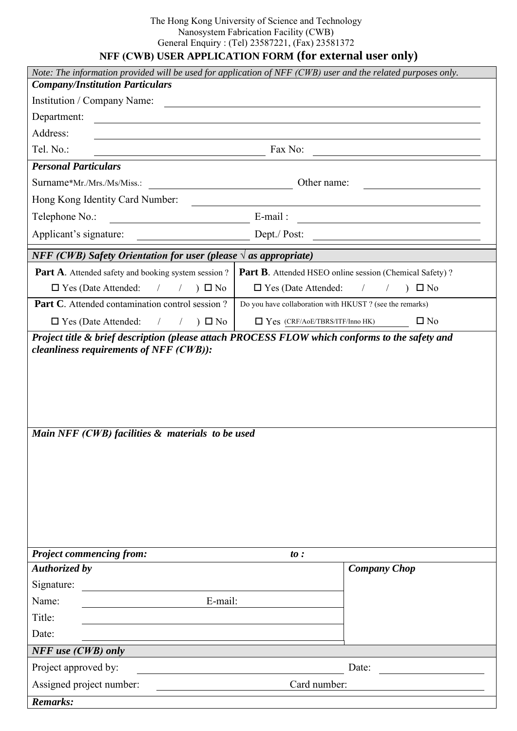## The Hong Kong University of Science and Technology Nanosystem Fabrication Facility (CWB) General Enquiry : (Tel) 23587221, (Fax) 23581372

## **NFF (CWB) USER APPLICATION FORM (for external user only)**

| Note: The information provided will be used for application of NFF (CWB) user and the related purposes only.<br><b>Company/Institution Particulars</b>                                                                                         |                                                                                                                                    |
|------------------------------------------------------------------------------------------------------------------------------------------------------------------------------------------------------------------------------------------------|------------------------------------------------------------------------------------------------------------------------------------|
| Institution / Company Name:                                                                                                                                                                                                                    |                                                                                                                                    |
| <u> 1980 - Jan Stein Stein Stein Stein Stein Stein Stein Stein Stein Stein Stein Stein Stein Stein Stein Stein S</u><br>Department:                                                                                                            |                                                                                                                                    |
| Address:                                                                                                                                                                                                                                       |                                                                                                                                    |
| Tel. No.:<br>Fax No:                                                                                                                                                                                                                           |                                                                                                                                    |
| <b>Personal Particulars</b>                                                                                                                                                                                                                    |                                                                                                                                    |
| Surname*Mr./Mrs./Ms/Miss.:                                                                                                                                                                                                                     | Other name:                                                                                                                        |
| Hong Kong Identity Card Number:                                                                                                                                                                                                                |                                                                                                                                    |
| Telephone No.:<br><u> 1980 - Jan Barat, martin a</u>                                                                                                                                                                                           | $E$ -mail:<br><u> 1989 - Jan Stein Stein Stein Stein Stein Stein Stein Stein Stein Stein Stein Stein Stein Stein Stein Stein S</u> |
| Applicant's signature:                                                                                                                                                                                                                         | Dept./ Post:                                                                                                                       |
| <b>NFF</b> (CWB) Safety Orientation for user (please $\forall$ as appropriate)                                                                                                                                                                 |                                                                                                                                    |
| <b>Part A.</b> Attended safety and booking system session ?                                                                                                                                                                                    | <b>Part B.</b> Attended HSEO online session (Chemical Safety)?                                                                     |
| $\Box$ Yes (Date Attended:<br>$) \Box$ No<br>$\frac{1}{2}$<br>$\sqrt{2}$                                                                                                                                                                       | $\Box$ Yes (Date Attended:<br>$)$ $\Box$ No<br>$\sqrt{2}$<br>$\sqrt{2}$                                                            |
| Part C. Attended contamination control session?                                                                                                                                                                                                | Do you have collaboration with HKUST ? (see the remarks)                                                                           |
| $\Box$ Yes (Date Attended:<br>$) \Box$ No<br>$\sqrt{2}$                                                                                                                                                                                        | $\Box$ Yes (CRF/AoE/TBRS/ITF/Inno HK)<br>$\square$ No                                                                              |
| Project title & brief description (please attach PROCESS FLOW which conforms to the safety and<br><i>cleanliness requirements of NFF (CWB)):</i><br>Main NFF (CWB) facilities & materials to be used<br><b>Project commencing from:</b><br>to: |                                                                                                                                    |
| <b>Authorized by</b>                                                                                                                                                                                                                           | <b>Company Chop</b>                                                                                                                |
| Signature:                                                                                                                                                                                                                                     |                                                                                                                                    |
| E-mail:<br>Name:                                                                                                                                                                                                                               |                                                                                                                                    |
| Title:                                                                                                                                                                                                                                         |                                                                                                                                    |
| Date:                                                                                                                                                                                                                                          |                                                                                                                                    |
| NFF use (CWB) only                                                                                                                                                                                                                             |                                                                                                                                    |
| Project approved by:                                                                                                                                                                                                                           | Date:                                                                                                                              |
| Assigned project number:<br>Card number:                                                                                                                                                                                                       |                                                                                                                                    |
| <b>Remarks:</b>                                                                                                                                                                                                                                |                                                                                                                                    |